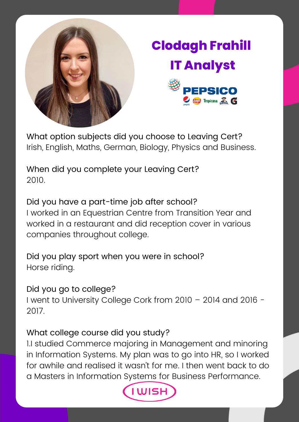

## **Clodagh Frahill IT Analyst**



What option subjects did you choose to Leaving Cert? Irish, English, Maths, German, Biology, Physics and Business.

When did you complete your Leaving Cert? 2010.

Did you have a part-time job after school? I worked in an Equestrian Centre from Transition Year and worked in a restaurant and did reception cover in various companies throughout college.

Did you play sport when you were in school? Horse riding.

Did you go to college?

I went to University College Cork from 2010 – 2014 and 2016 - 2017.

## What college course did you study?

1.I studied Commerce majoring in Management and minoring in Information Systems. My plan was to go into HR, so I worked for awhile and realised it wasn't for me. I then went back to do a Masters in Information Systems for Business Performance.